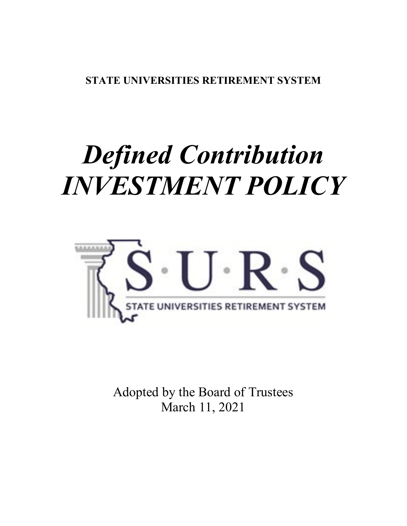**STATE UNIVERSITIES RETIREMENT SYSTEM** 

# *Defined Contribution INVESTMENT POLICY*



Adopted by the Board of Trustees March 11, 2021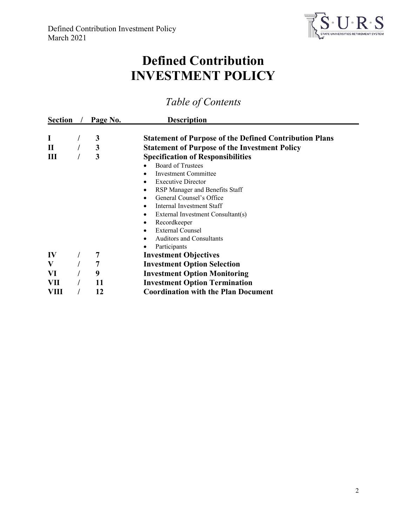

# **Defined Contribution INVESTMENT POLICY**

# *Table of Contents*

| <b>Section</b> |  | Page No. | <b>Description</b>                                            |
|----------------|--|----------|---------------------------------------------------------------|
|                |  | 3        | <b>Statement of Purpose of the Defined Contribution Plans</b> |
| $\mathbf{I}$   |  | 3        | <b>Statement of Purpose of the Investment Policy</b>          |
| 3<br>Ш         |  |          | <b>Specification of Responsibilities</b>                      |
|                |  |          | <b>Board of Trustees</b>                                      |
|                |  |          | Investment Committee                                          |
|                |  |          | <b>Executive Director</b>                                     |
|                |  |          | RSP Manager and Benefits Staff<br>٠                           |
|                |  |          | General Counsel's Office                                      |
|                |  |          | Internal Investment Staff                                     |
|                |  |          | External Investment Consultant(s)<br>٠                        |
|                |  |          | Recordkeeper                                                  |
|                |  |          | <b>External Counsel</b>                                       |
|                |  |          | <b>Auditors and Consultants</b>                               |
|                |  |          | Participants                                                  |
| IV             |  |          | <b>Investment Objectives</b>                                  |
| V              |  | 7        | <b>Investment Option Selection</b>                            |
| VI             |  | 9        | <b>Investment Option Monitoring</b>                           |
| VII            |  | 11       | <b>Investment Option Termination</b>                          |
| VIII           |  | 12       | <b>Coordination with the Plan Document</b>                    |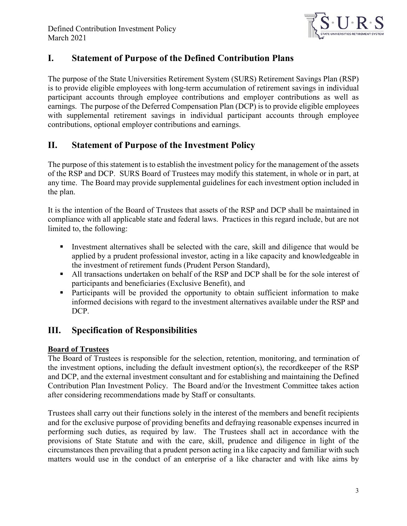

# **I. Statement of Purpose of the Defined Contribution Plans**

The purpose of the State Universities Retirement System (SURS) Retirement Savings Plan (RSP) is to provide eligible employees with long-term accumulation of retirement savings in individual participant accounts through employee contributions and employer contributions as well as earnings. The purpose of the Deferred Compensation Plan (DCP) is to provide eligible employees with supplemental retirement savings in individual participant accounts through employee contributions, optional employer contributions and earnings.

# **II. Statement of Purpose of the Investment Policy**

The purpose of this statement is to establish the investment policy for the management of the assets of the RSP and DCP. SURS Board of Trustees may modify this statement, in whole or in part, at any time. The Board may provide supplemental guidelines for each investment option included in the plan.

It is the intention of the Board of Trustees that assets of the RSP and DCP shall be maintained in compliance with all applicable state and federal laws. Practices in this regard include, but are not limited to, the following:

- Investment alternatives shall be selected with the care, skill and diligence that would be applied by a prudent professional investor, acting in a like capacity and knowledgeable in the investment of retirement funds (Prudent Person Standard),
- All transactions undertaken on behalf of the RSP and DCP shall be for the sole interest of participants and beneficiaries (Exclusive Benefit), and
- Participants will be provided the opportunity to obtain sufficient information to make informed decisions with regard to the investment alternatives available under the RSP and DCP.

# **III. Specification of Responsibilities**

## **Board of Trustees**

The Board of Trustees is responsible for the selection, retention, monitoring, and termination of the investment options, including the default investment option(s), the recordkeeper of the RSP and DCP, and the external investment consultant and for establishing and maintaining the Defined Contribution Plan Investment Policy. The Board and/or the Investment Committee takes action after considering recommendations made by Staff or consultants.

Trustees shall carry out their functions solely in the interest of the members and benefit recipients and for the exclusive purpose of providing benefits and defraying reasonable expenses incurred in performing such duties, as required by law. The Trustees shall act in accordance with the provisions of State Statute and with the care, skill, prudence and diligence in light of the circumstances then prevailing that a prudent person acting in a like capacity and familiar with such matters would use in the conduct of an enterprise of a like character and with like aims by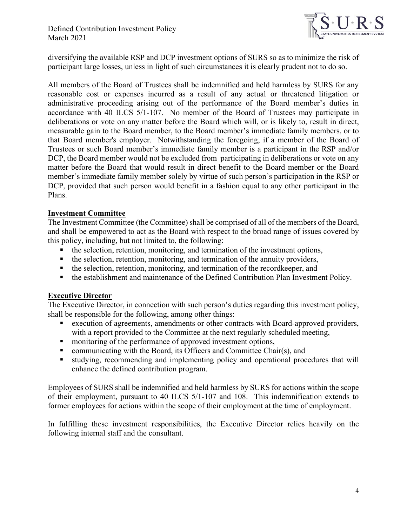

diversifying the available RSP and DCP investment options of SURS so as to minimize the risk of participant large losses, unless in light of such circumstances it is clearly prudent not to do so.

All members of the Board of Trustees shall be indemnified and held harmless by SURS for any reasonable cost or expenses incurred as a result of any actual or threatened litigation or administrative proceeding arising out of the performance of the Board member's duties in accordance with 40 ILCS 5/1-107. No member of the Board of Trustees may participate in deliberations or vote on any matter before the Board which will, or is likely to, result in direct, measurable gain to the Board member, to the Board member's immediate family members, or to that Board member's employer. Notwithstanding the foregoing, if a member of the Board of Trustees or such Board member's immediate family member is a participant in the RSP and/or DCP, the Board member would not be excluded from participating in deliberations or vote on any matter before the Board that would result in direct benefit to the Board member or the Board member's immediate family member solely by virtue of such person's participation in the RSP or DCP, provided that such person would benefit in a fashion equal to any other participant in the Plans.

#### **Investment Committee**

The Investment Committee (the Committee) shall be comprised of all of the members of the Board, and shall be empowered to act as the Board with respect to the broad range of issues covered by this policy, including, but not limited to, the following:

- the selection, retention, monitoring, and termination of the investment options,
- the selection, retention, monitoring, and termination of the annuity providers,
- the selection, retention, monitoring, and termination of the recordkeeper, and
- the establishment and maintenance of the Defined Contribution Plan Investment Policy.

#### **Executive Director**

The Executive Director, in connection with such person's duties regarding this investment policy, shall be responsible for the following, among other things:

- execution of agreements, amendments or other contracts with Board-approved providers, with a report provided to the Committee at the next regularly scheduled meeting,
- monitoring of the performance of approved investment options,
- communicating with the Board, its Officers and Committee Chair(s), and
- studying, recommending and implementing policy and operational procedures that will enhance the defined contribution program.

Employees of SURS shall be indemnified and held harmless by SURS for actions within the scope of their employment, pursuant to 40 ILCS 5/1-107 and 108. This indemnification extends to former employees for actions within the scope of their employment at the time of employment.

In fulfilling these investment responsibilities, the Executive Director relies heavily on the following internal staff and the consultant.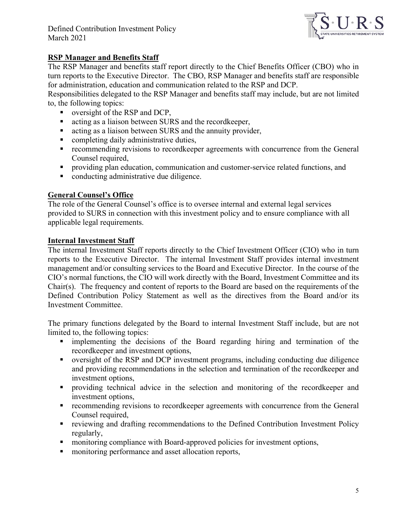

#### **RSP Manager and Benefits Staff**

The RSP Manager and benefits staff report directly to the Chief Benefits Officer (CBO) who in turn reports to the Executive Director. The CBO, RSP Manager and benefits staff are responsible for administration, education and communication related to the RSP and DCP.

Responsibilities delegated to the RSP Manager and benefits staff may include, but are not limited to, the following topics:

- versight of the RSP and DCP,
- acting as a liaison between SURS and the record keeper,
- acting as a liaison between SURS and the annuity provider,
- **•** completing daily administrative duties,
- recommending revisions to recordkeeper agreements with concurrence from the General Counsel required,
- **Peroviding plan education, communication and customer-service related functions, and**
- conducting administrative due diligence.

#### **General Counsel's Office**

The role of the General Counsel's office is to oversee internal and external legal services provided to SURS in connection with this investment policy and to ensure compliance with all applicable legal requirements.

#### **Internal Investment Staff**

The internal Investment Staff reports directly to the Chief Investment Officer (CIO) who in turn reports to the Executive Director. The internal Investment Staff provides internal investment management and/or consulting services to the Board and Executive Director. In the course of the CIO's normal functions, the CIO will work directly with the Board, Investment Committee and its Chair(s). The frequency and content of reports to the Board are based on the requirements of the Defined Contribution Policy Statement as well as the directives from the Board and/or its Investment Committee.

The primary functions delegated by the Board to internal Investment Staff include, but are not limited to, the following topics:

- implementing the decisions of the Board regarding hiring and termination of the recordkeeper and investment options,
- oversight of the RSP and DCP investment programs, including conducting due diligence and providing recommendations in the selection and termination of the recordkeeper and investment options,
- providing technical advice in the selection and monitoring of the recordkeeper and investment options,
- recommending revisions to recordkeeper agreements with concurrence from the General Counsel required,
- reviewing and drafting recommendations to the Defined Contribution Investment Policy regularly,
- monitoring compliance with Board-approved policies for investment options,
- **n** monitoring performance and asset allocation reports,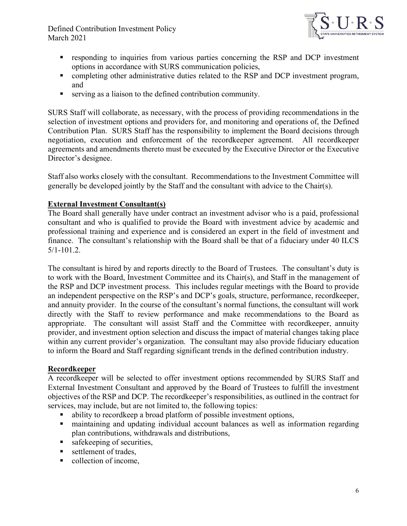

- responding to inquiries from various parties concerning the RSP and DCP investment options in accordance with SURS communication policies,
- completing other administrative duties related to the RSP and DCP investment program, and
- serving as a liaison to the defined contribution community.

SURS Staff will collaborate, as necessary, with the process of providing recommendations in the selection of investment options and providers for, and monitoring and operations of, the Defined Contribution Plan. SURS Staff has the responsibility to implement the Board decisions through negotiation, execution and enforcement of the recordkeeper agreement. All recordkeeper agreements and amendments thereto must be executed by the Executive Director or the Executive Director's designee.

Staff also works closely with the consultant. Recommendations to the Investment Committee will generally be developed jointly by the Staff and the consultant with advice to the Chair(s).

#### **External Investment Consultant(s)**

The Board shall generally have under contract an investment advisor who is a paid, professional consultant and who is qualified to provide the Board with investment advice by academic and professional training and experience and is considered an expert in the field of investment and finance. The consultant's relationship with the Board shall be that of a fiduciary under 40 ILCS 5/1-101.2.

The consultant is hired by and reports directly to the Board of Trustees. The consultant's duty is to work with the Board, Investment Committee and its Chair(s), and Staff in the management of the RSP and DCP investment process. This includes regular meetings with the Board to provide an independent perspective on the RSP's and DCP's goals, structure, performance, recordkeeper, and annuity provider. In the course of the consultant's normal functions, the consultant will work directly with the Staff to review performance and make recommendations to the Board as appropriate. The consultant will assist Staff and the Committee with recordkeeper, annuity provider, and investment option selection and discuss the impact of material changes taking place within any current provider's organization. The consultant may also provide fiduciary education to inform the Board and Staff regarding significant trends in the defined contribution industry.

#### **Recordkeeper**

A recordkeeper will be selected to offer investment options recommended by SURS Staff and External Investment Consultant and approved by the Board of Trustees to fulfill the investment objectives of the RSP and DCP. The recordkeeper's responsibilities, as outlined in the contract for services, may include, but are not limited to, the following topics:

- ability to recordkeep a broad platform of possible investment options,
- maintaining and updating individual account balances as well as information regarding plan contributions, withdrawals and distributions,
- safekeeping of securities,
- settlement of trades,
- collection of income,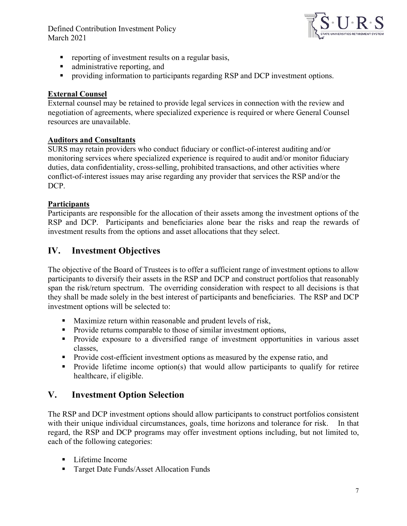

- **•** reporting of investment results on a regular basis,
- administrative reporting, and
- **Peroviding information to participants regarding RSP and DCP investment options.**

#### **External Counsel**

External counsel may be retained to provide legal services in connection with the review and negotiation of agreements, where specialized experience is required or where General Counsel resources are unavailable.

#### **Auditors and Consultants**

SURS may retain providers who conduct fiduciary or conflict-of-interest auditing and/or monitoring services where specialized experience is required to audit and/or monitor fiduciary duties, data confidentiality, cross-selling, prohibited transactions, and other activities where conflict-of-interest issues may arise regarding any provider that services the RSP and/or the DCP.

#### **Participants**

Participants are responsible for the allocation of their assets among the investment options of the RSP and DCP. Participants and beneficiaries alone bear the risks and reap the rewards of investment results from the options and asset allocations that they select.

# **IV. Investment Objectives**

The objective of the Board of Trustees is to offer a sufficient range of investment options to allow participants to diversify their assets in the RSP and DCP and construct portfolios that reasonably span the risk/return spectrum. The overriding consideration with respect to all decisions is that they shall be made solely in the best interest of participants and beneficiaries. The RSP and DCP investment options will be selected to:

- **Maximize return within reasonable and prudent levels of risk,**
- Provide returns comparable to those of similar investment options,
- **Provide exposure to a diversified range of investment opportunities in various asset** classes,
- **Provide cost-efficient investment options as measured by the expense ratio, and**
- Provide lifetime income option(s) that would allow participants to qualify for retiree healthcare, if eligible.

## **V. Investment Option Selection**

The RSP and DCP investment options should allow participants to construct portfolios consistent with their unique individual circumstances, goals, time horizons and tolerance for risk. In that regard, the RSP and DCP programs may offer investment options including, but not limited to, each of the following categories:

- Lifetime Income
- Target Date Funds/Asset Allocation Funds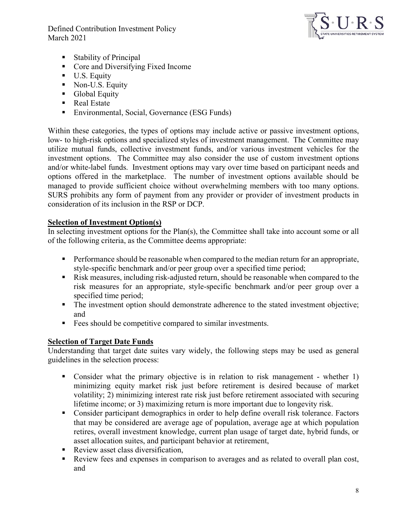

- Stability of Principal
- Core and Diversifying Fixed Income
- U.S. Equity
- Non-U.S. Equity
- **Global Equity**
- Real Estate
- **Environmental, Social, Governance (ESG Funds)**

Within these categories, the types of options may include active or passive investment options, low- to high-risk options and specialized styles of investment management. The Committee may utilize mutual funds, collective investment funds, and/or various investment vehicles for the investment options. The Committee may also consider the use of custom investment options and/or white-label funds. Investment options may vary over time based on participant needs and options offered in the marketplace. The number of investment options available should be managed to provide sufficient choice without overwhelming members with too many options. SURS prohibits any form of payment from any provider or provider of investment products in consideration of its inclusion in the RSP or DCP.

#### **Selection of Investment Option(s)**

In selecting investment options for the Plan(s), the Committee shall take into account some or all of the following criteria, as the Committee deems appropriate:

- **Performance should be reasonable when compared to the median return for an appropriate,** style-specific benchmark and/or peer group over a specified time period;
- Risk measures, including risk-adjusted return, should be reasonable when compared to the risk measures for an appropriate, style-specific benchmark and/or peer group over a specified time period;
- The investment option should demonstrate adherence to the stated investment objective; and
- Fees should be competitive compared to similar investments.

#### **Selection of Target Date Funds**

Understanding that target date suites vary widely, the following steps may be used as general guidelines in the selection process:

- Consider what the primary objective is in relation to risk management whether 1) minimizing equity market risk just before retirement is desired because of market volatility; 2) minimizing interest rate risk just before retirement associated with securing lifetime income; or 3) maximizing return is more important due to longevity risk.
- Consider participant demographics in order to help define overall risk tolerance. Factors that may be considered are average age of population, average age at which population retires, overall investment knowledge, current plan usage of target date, hybrid funds, or asset allocation suites, and participant behavior at retirement,
- Review asset class diversification,
- Review fees and expenses in comparison to averages and as related to overall plan cost, and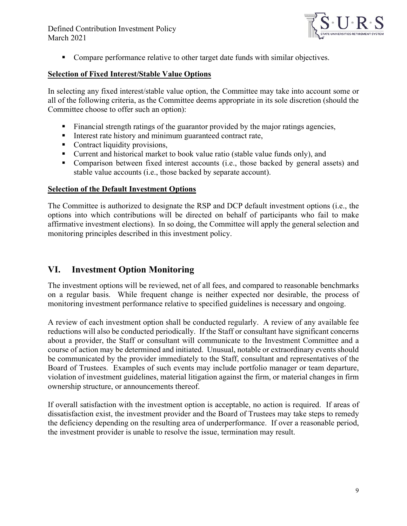

**Compare performance relative to other target date funds with similar objectives.** 

#### **Selection of Fixed Interest/Stable Value Options**

In selecting any fixed interest/stable value option, the Committee may take into account some or all of the following criteria, as the Committee deems appropriate in its sole discretion (should the Committee choose to offer such an option):

- Financial strength ratings of the guarantor provided by the major ratings agencies,
- Interest rate history and minimum guaranteed contract rate,
- Contract liquidity provisions,
- Current and historical market to book value ratio (stable value funds only), and
- Comparison between fixed interest accounts (i.e., those backed by general assets) and stable value accounts (i.e., those backed by separate account).

#### **Selection of the Default Investment Options**

The Committee is authorized to designate the RSP and DCP default investment options (i.e., the options into which contributions will be directed on behalf of participants who fail to make affirmative investment elections). In so doing, the Committee will apply the general selection and monitoring principles described in this investment policy.

## **VI. Investment Option Monitoring**

The investment options will be reviewed, net of all fees, and compared to reasonable benchmarks on a regular basis. While frequent change is neither expected nor desirable, the process of monitoring investment performance relative to specified guidelines is necessary and ongoing.

A review of each investment option shall be conducted regularly. A review of any available fee reductions will also be conducted periodically. If the Staff or consultant have significant concerns about a provider, the Staff or consultant will communicate to the Investment Committee and a course of action may be determined and initiated. Unusual, notable or extraordinary events should be communicated by the provider immediately to the Staff, consultant and representatives of the Board of Trustees. Examples of such events may include portfolio manager or team departure, violation of investment guidelines, material litigation against the firm, or material changes in firm ownership structure, or announcements thereof.

If overall satisfaction with the investment option is acceptable, no action is required. If areas of dissatisfaction exist, the investment provider and the Board of Trustees may take steps to remedy the deficiency depending on the resulting area of underperformance. If over a reasonable period, the investment provider is unable to resolve the issue, termination may result.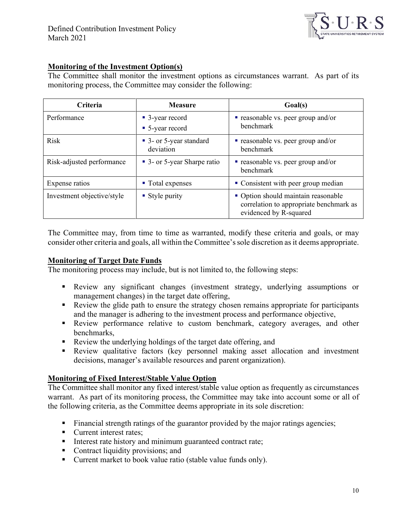

#### **Monitoring of the Investment Option(s)**

The Committee shall monitor the investment options as circumstances warrant. As part of its monitoring process, the Committee may consider the following:

| Criteria                   | <b>Measure</b>                       | Goal(s)                                                                                                  |
|----------------------------|--------------------------------------|----------------------------------------------------------------------------------------------------------|
| Performance                | • 3-year record<br>• 5-year record   | <b>•</b> reasonable vs. peer group and/or<br>benchmark                                                   |
| <b>Risk</b>                | • 3- or 5-year standard<br>deviation | <b>•</b> reasonable vs. peer group and/or<br><b>benchmark</b>                                            |
| Risk-adjusted performance  | • 3- or 5-year Sharpe ratio          | <b>•</b> reasonable vs. peer group and/or<br>benchmark                                                   |
| Expense ratios             | ■ Total expenses                     | • Consistent with peer group median                                                                      |
| Investment objective/style | • Style purity                       | • Option should maintain reasonable<br>correlation to appropriate benchmark as<br>evidenced by R-squared |

The Committee may, from time to time as warranted, modify these criteria and goals, or may consider other criteria and goals, all within the Committee's sole discretion as it deems appropriate.

#### **Monitoring of Target Date Funds**

The monitoring process may include, but is not limited to, the following steps:

- Review any significant changes (investment strategy, underlying assumptions or management changes) in the target date offering,
- Review the glide path to ensure the strategy chosen remains appropriate for participants and the manager is adhering to the investment process and performance objective,
- Review performance relative to custom benchmark, category averages, and other benchmarks,
- Review the underlying holdings of the target date offering, and
- Review qualitative factors (key personnel making asset allocation and investment decisions, manager's available resources and parent organization).

#### **Monitoring of Fixed Interest/Stable Value Option**

The Committee shall monitor any fixed interest/stable value option as frequently as circumstances warrant. As part of its monitoring process, the Committee may take into account some or all of the following criteria, as the Committee deems appropriate in its sole discretion:

- Financial strength ratings of the guarantor provided by the major ratings agencies;
- Current interest rates:
- Interest rate history and minimum guaranteed contract rate;
- Contract liquidity provisions; and
- Current market to book value ratio (stable value funds only).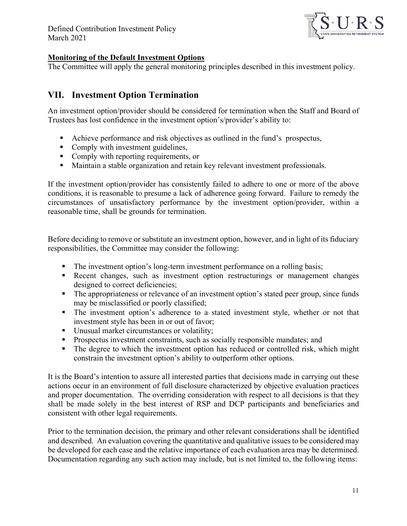

#### **Monitoring of the Default Investment Options**

The Committee will apply the general monitoring principles described in this investment policy.

# **VII. Investment Option Termination**

An investment option/provider should be considered for termination when the Staff and Board of Trustees has lost confidence in the investment option's/provider's ability to:

- Achieve performance and risk objectives as outlined in the fund's prospectus,
- Comply with investment guidelines,
- Comply with reporting requirements, or
- Maintain a stable organization and retain key relevant investment professionals.

If the investment option/provider has consistently failed to adhere to one or more of the above conditions, it is reasonable to presume a lack of adherence going forward. Failure to remedy the circumstances of unsatisfactory performance by the investment option/provider, within a reasonable time, shall be grounds for termination.

Before deciding to remove or substitute an investment option, however, and in light of its fiduciary responsibilities, the Committee may consider the following:

- The investment option's long-term investment performance on a rolling basis;
- Recent changes, such as investment option restructurings or management changes designed to correct deficiencies;
- The appropriateness or relevance of an investment option's stated peer group, since funds may be misclassified or poorly classified;
- The investment option's adherence to a stated investment style, whether or not that investment style has been in or out of favor;
- Unusual market circumstances or volatility;
- **Prospectus investment constraints, such as socially responsible mandates; and**
- The degree to which the investment option has reduced or controlled risk, which might constrain the investment option's ability to outperform other options.

It is the Board's intention to assure all interested parties that decisions made in carrying out these actions occur in an environment of full disclosure characterized by objective evaluation practices and proper documentation. The overriding consideration with respect to all decisions is that they shall be made solely in the best interest of RSP and DCP participants and beneficiaries and consistent with other legal requirements.

Prior to the termination decision, the primary and other relevant considerations shall be identified and described. An evaluation covering the quantitative and qualitative issues to be considered may be developed for each case and the relative importance of each evaluation area may be determined. Documentation regarding any such action may include, but is not limited to, the following items: